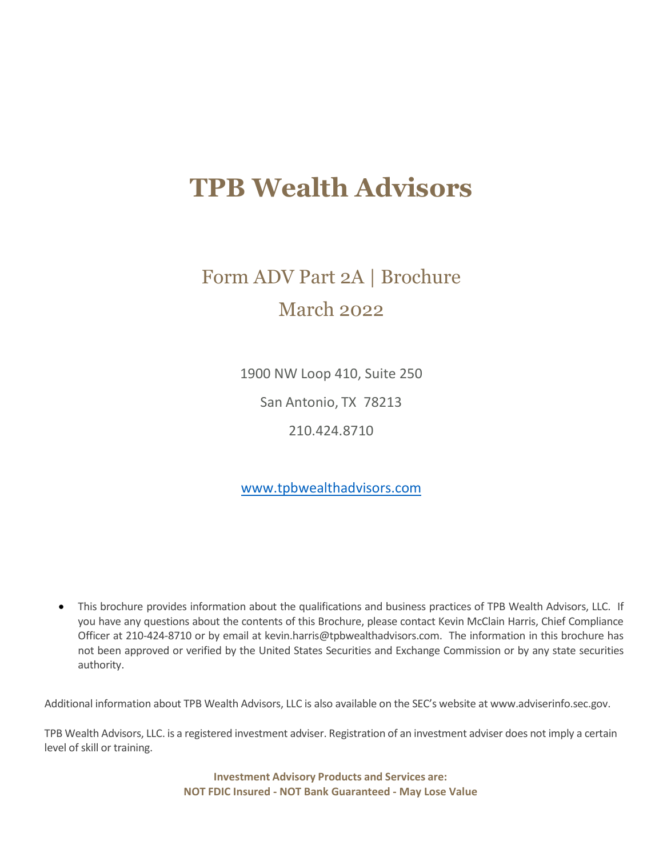# **TPB Wealth Advisors**

# Form ADV Part 2A | Brochure March 2022

1900 NW Loop 410, Suite 250

San Antonio, TX 78213

210.424.8710

[www.tpbwealthadvisors.com](http://www.tpbweatlthadvisors.com/)

• This brochure provides information about the qualifications and business practices of TPB Wealth Advisors, LLC. If you have any questions about the contents of this Brochure, please contact Kevin McClain Harris, Chief Compliance Officer at 210-424-8710 or by email at kevin.harris@tpbwealthadvisors.com. The information in this brochure has not been approved or verified by the United States Securities and Exchange Commission or by any state securities authority.

Additional information about TPB Wealth Advisors, LLC is also available on the SEC's website at [www.adviserinfo.sec.gov.](http://www.adviserinfo.sec.gov./)

TPB Wealth Advisors, LLC. is a registered investment adviser. Registration of an investment adviser does not imply a certain level of skill or training.

> **Investment Advisory Products and Services are: NOT FDIC Insured - NOT Bank Guaranteed - May Lose Value**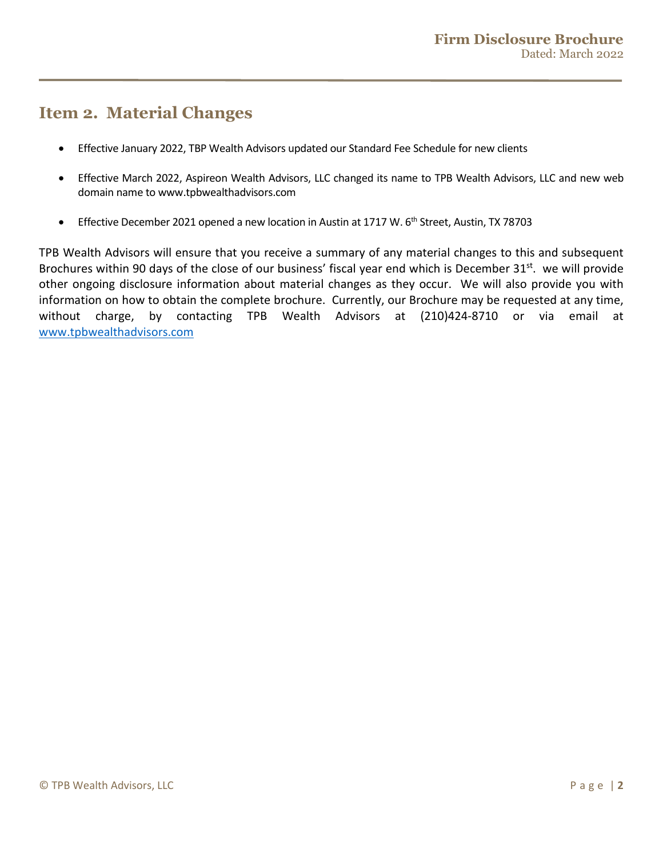# <span id="page-1-0"></span>**Item 2. Material Changes**

- Effective January 2022, TBP Wealth Advisors updated our Standard Fee Schedule for new clients
- Effective March 2022, Aspireon Wealth Advisors, LLC changed its name to TPB Wealth Advisors, LLC and new web domain name to www.tpbwealthadvisors.com
- Effective December 2021 opened a new location in Austin at 1717 W. 6<sup>th</sup> Street, Austin, TX 78703

TPB Wealth Advisors will ensure that you receive a summary of any material changes to this and subsequent Brochures within 90 days of the close of our business' fiscal year end which is December 31st. we will provide other ongoing disclosure information about material changes as they occur. We will also provide you with information on how to obtain the complete brochure. Currently, our Brochure may be requested at any time, without charge, by contacting TPB Wealth Advisors at (210)424-8710 or via email at [www.tpbwealthadvisors.com](http://www.tpbwealthadvisors.com/)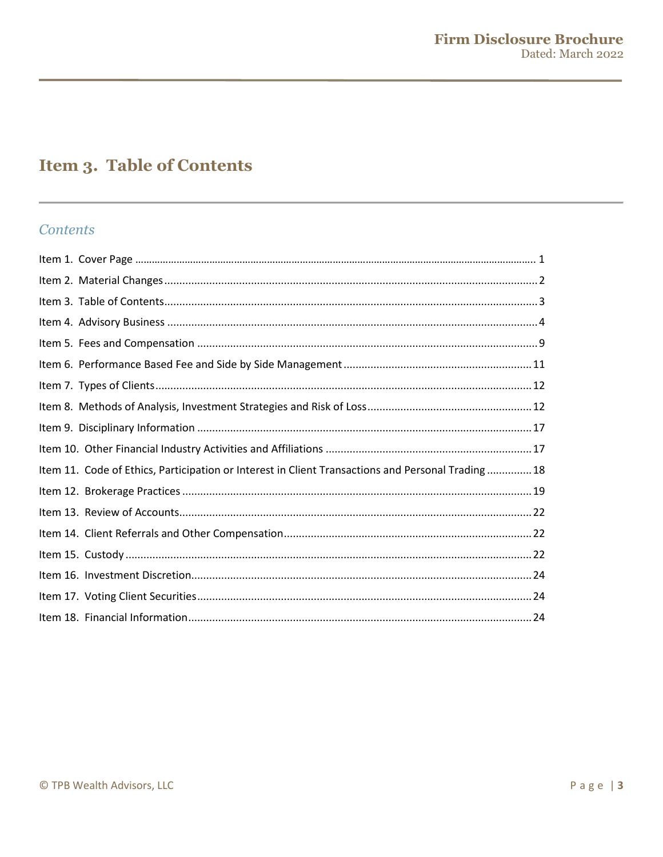# <span id="page-2-0"></span>**Item 3. Table of Contents**

### **Contents**

| Item 11. Code of Ethics, Participation or Interest in Client Transactions and Personal Trading18 |
|--------------------------------------------------------------------------------------------------|
|                                                                                                  |
|                                                                                                  |
|                                                                                                  |
|                                                                                                  |
|                                                                                                  |
|                                                                                                  |
|                                                                                                  |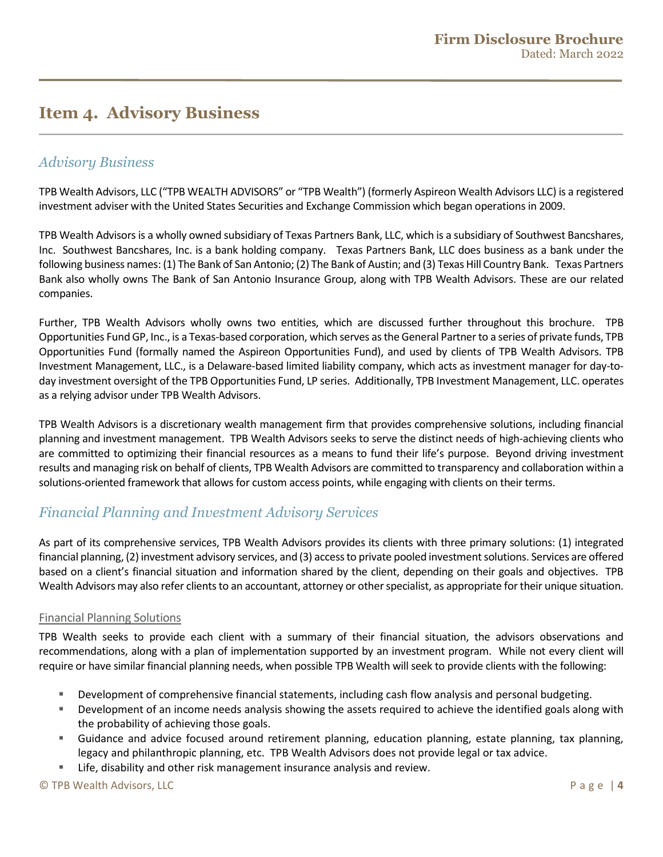# <span id="page-3-0"></span>**Item 4. Advisory Business**

### *Advisory Business*

TPB Wealth Advisors, LLC ("TPB WEALTH ADVISORS" or "TPB Wealth") (formerly Aspireon Wealth Advisors LLC) is a registered investment adviser with the United States Securities and Exchange Commission which began operations in 2009.

TPB Wealth Advisors is a wholly owned subsidiary of Texas Partners Bank, LLC, which is a subsidiary of Southwest Bancshares, Inc. Southwest Bancshares, Inc. is a bank holding company. Texas Partners Bank, LLC does business as a bank under the following business names: (1) The Bank of San Antonio; (2) The Bank of Austin; and (3) Texas Hill Country Bank. Texas Partners Bank also wholly owns The Bank of San Antonio Insurance Group, along with TPB Wealth Advisors. These are our related companies.

Further, TPB Wealth Advisors wholly owns two entities, which are discussed further throughout this brochure. TPB Opportunities Fund GP, Inc., is a Texas-based corporation, which serves as the General Partner to a series of private funds, TPB Opportunities Fund (formally named the Aspireon Opportunities Fund), and used by clients of TPB Wealth Advisors. TPB Investment Management, LLC., is a Delaware-based limited liability company, which acts as investment manager for day-today investment oversight of the TPB Opportunities Fund, LP series. Additionally, TPB Investment Management, LLC. operates as a relying advisor under TPB Wealth Advisors.

TPB Wealth Advisors is a discretionary wealth management firm that provides comprehensive solutions, including financial planning and investment management. TPB Wealth Advisors seeks to serve the distinct needs of high-achieving clients who are committed to optimizing their financial resources as a means to fund their life's purpose. Beyond driving investment results and managing risk on behalf of clients, TPB Wealth Advisors are committed to transparency and collaboration within a solutions-oriented framework that allows for custom access points, while engaging with clients on their terms.

### *Financial Planning and Investment Advisory Services*

As part of its comprehensive services, TPB Wealth Advisors provides its clients with three primary solutions: (1) integrated financial planning, (2) investment advisory services, and (3) access to private pooled investment solutions. Services are offered based on a client's financial situation and information shared by the client, depending on their goals and objectives. TPB Wealth Advisors may also refer clients to an accountant, attorney or other specialist, as appropriate for their unique situation.

#### Financial Planning Solutions

TPB Wealth seeks to provide each client with a summary of their financial situation, the advisors observations and recommendations, along with a plan of implementation supported by an investment program. While not every client will require or have similar financial planning needs, when possible TPB Wealth will seek to provide clients with the following:

- Development of comprehensive financial statements, including cash flow analysis and personal budgeting.
- Development of an income needs analysis showing the assets required to achieve the identified goals along with the probability of achieving those goals.
- Guidance and advice focused around retirement planning, education planning, estate planning, tax planning, legacy and philanthropic planning, etc. TPB Wealth Advisors does not provide legal or tax advice.
- Life, disability and other risk management insurance analysis and review.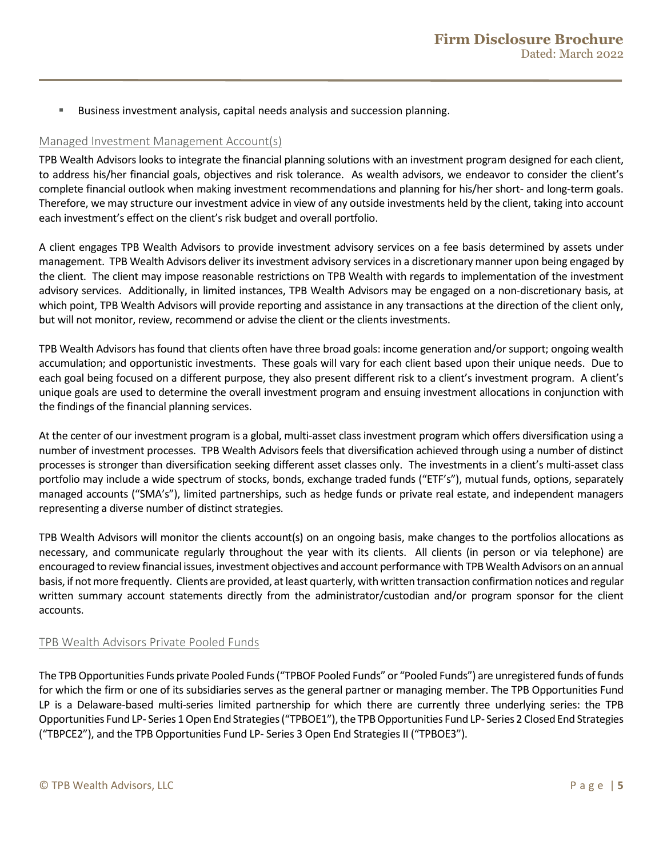Business investment analysis, capital needs analysis and succession planning.

#### Managed Investment Management Account(s)

TPB Wealth Advisors looks to integrate the financial planning solutions with an investment program designed for each client, to address his/her financial goals, objectives and risk tolerance. As wealth advisors, we endeavor to consider the client's complete financial outlook when making investment recommendations and planning for his/her short- and long-term goals. Therefore, we may structure our investment advice in view of any outside investments held by the client, taking into account each investment's effect on the client's risk budget and overall portfolio.

A client engages TPB Wealth Advisors to provide investment advisory services on a fee basis determined by assets under management. TPB Wealth Advisors deliver its investment advisory services in a discretionary manner upon being engaged by the client. The client may impose reasonable restrictions on TPB Wealth with regards to implementation of the investment advisory services. Additionally, in limited instances, TPB Wealth Advisors may be engaged on a non-discretionary basis, at which point, TPB Wealth Advisors will provide reporting and assistance in any transactions at the direction of the client only, but will not monitor, review, recommend or advise the client or the clients investments.

TPB Wealth Advisors has found that clients often have three broad goals: income generation and/or support; ongoing wealth accumulation; and opportunistic investments. These goals will vary for each client based upon their unique needs. Due to each goal being focused on a different purpose, they also present different risk to a client's investment program. A client's unique goals are used to determine the overall investment program and ensuing investment allocations in conjunction with the findings of the financial planning services.

At the center of our investment program is a global, multi-asset class investment program which offers diversification using a number of investment processes. TPB Wealth Advisors feels that diversification achieved through using a number of distinct processes is stronger than diversification seeking different asset classes only. The investments in a client's multi-asset class portfolio may include a wide spectrum of stocks, bonds, exchange traded funds ("ETF's"), mutual funds, options, separately managed accounts ("SMA's"), limited partnerships, such as hedge funds or private real estate, and independent managers representing a diverse number of distinct strategies.

TPB Wealth Advisors will monitor the clients account(s) on an ongoing basis, make changes to the portfolios allocations as necessary, and communicate regularly throughout the year with its clients. All clients (in person or via telephone) are encouraged to review financial issues, investment objectives and account performance with TPB Wealth Advisors on an annual basis, if not more frequently. Clients are provided, at least quarterly, with written transaction confirmation notices and regular written summary account statements directly from the administrator/custodian and/or program sponsor for the client accounts.

#### TPB Wealth Advisors Private Pooled Funds

The TPB Opportunities Funds private Pooled Funds ("TPBOF Pooled Funds" or "Pooled Funds") are unregistered funds of funds for which the firm or one of its subsidiaries serves as the general partner or managing member. The TPB Opportunities Fund LP is a Delaware-based multi-series limited partnership for which there are currently three underlying series: the TPB Opportunities Fund LP- Series 1 Open End Strategies ("TPBOE1"), the TPBOpportunities Fund LP- Series 2 Closed End Strategies ("TBPCE2"), and the TPB Opportunities Fund LP- Series 3 Open End Strategies II ("TPBOE3").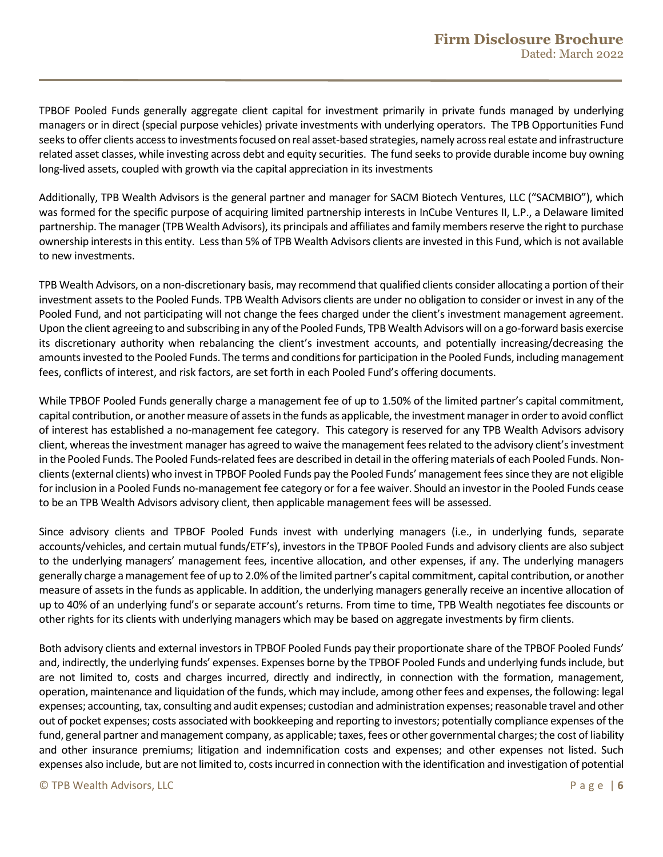TPBOF Pooled Funds generally aggregate client capital for investment primarily in private funds managed by underlying managers or in direct (special purpose vehicles) private investments with underlying operators. The TPB Opportunities Fund seeks to offer clients access to investments focused on real asset-based strategies, namely across real estate and infrastructure related asset classes, while investing across debt and equity securities. The fund seeks to provide durable income buy owning long-lived assets, coupled with growth via the capital appreciation in its investments

Additionally, TPB Wealth Advisors is the general partner and manager for SACM Biotech Ventures, LLC ("SACMBIO"), which was formed for the specific purpose of acquiring limited partnership interests in InCube Ventures II, L.P., a Delaware limited partnership. The manager (TPB Wealth Advisors), its principals and affiliates and family members reserve the right to purchase ownership interests in this entity. Less than 5% of TPB Wealth Advisors clients are invested in this Fund, which is not available to new investments.

TPB Wealth Advisors, on a non-discretionary basis, may recommend that qualified clients consider allocating a portion of their investment assets to the Pooled Funds. TPB Wealth Advisors clients are under no obligation to consider or invest in any of the Pooled Fund, and not participating will not change the fees charged under the client's investment management agreement. Upon the client agreeing to and subscribing in any of the Pooled Funds, TPB Wealth Advisors will on a go-forward basis exercise its discretionary authority when rebalancing the client's investment accounts, and potentially increasing/decreasing the amounts invested to the Pooled Funds. The terms and conditions for participation in the Pooled Funds, including management fees, conflicts of interest, and risk factors, are set forth in each Pooled Fund's offering documents.

While TPBOF Pooled Funds generally charge a management fee of up to 1.50% of the limited partner's capital commitment, capital contribution, or another measure of assets in the funds as applicable, the investment manager in order to avoid conflict of interest has established a no-management fee category. This category is reserved for any TPB Wealth Advisors advisory client, whereas the investment manager has agreed to waive the management fees related to the advisory client'sinvestment in the Pooled Funds. The Pooled Funds-related fees are described in detail in the offering materials of each Pooled Funds. Nonclients(external clients) who invest in TPBOF Pooled Funds pay the Pooled Funds' management fees since they are not eligible for inclusion in a Pooled Funds no-management fee category or for a fee waiver. Should an investor in the Pooled Funds cease to be an TPB Wealth Advisors advisory client, then applicable management fees will be assessed.

Since advisory clients and TPBOF Pooled Funds invest with underlying managers (i.e., in underlying funds, separate accounts/vehicles, and certain mutual funds/ETF's), investors in the TPBOF Pooled Funds and advisory clients are also subject to the underlying managers' management fees, incentive allocation, and other expenses, if any. The underlying managers generally charge a management fee of up to 2.0% of the limited partner's capital commitment, capital contribution, or another measure of assets in the funds as applicable. In addition, the underlying managers generally receive an incentive allocation of up to 40% of an underlying fund's or separate account's returns. From time to time, TPB Wealth negotiates fee discounts or other rights for its clients with underlying managers which may be based on aggregate investments by firm clients.

Both advisory clients and external investors in TPBOF Pooled Funds pay their proportionate share of the TPBOF Pooled Funds' and, indirectly, the underlying funds' expenses. Expenses borne by the TPBOF Pooled Funds and underlying funds include, but are not limited to, costs and charges incurred, directly and indirectly, in connection with the formation, management, operation, maintenance and liquidation of the funds, which may include, among other fees and expenses, the following: legal expenses; accounting, tax, consulting and audit expenses; custodian and administration expenses; reasonable travel and other out of pocket expenses; costs associated with bookkeeping and reporting to investors; potentially compliance expenses of the fund, general partner and management company, as applicable; taxes, fees or other governmental charges; the cost of liability and other insurance premiums; litigation and indemnification costs and expenses; and other expenses not listed. Such expenses also include, but are not limited to, costs incurred in connection with the identification and investigation of potential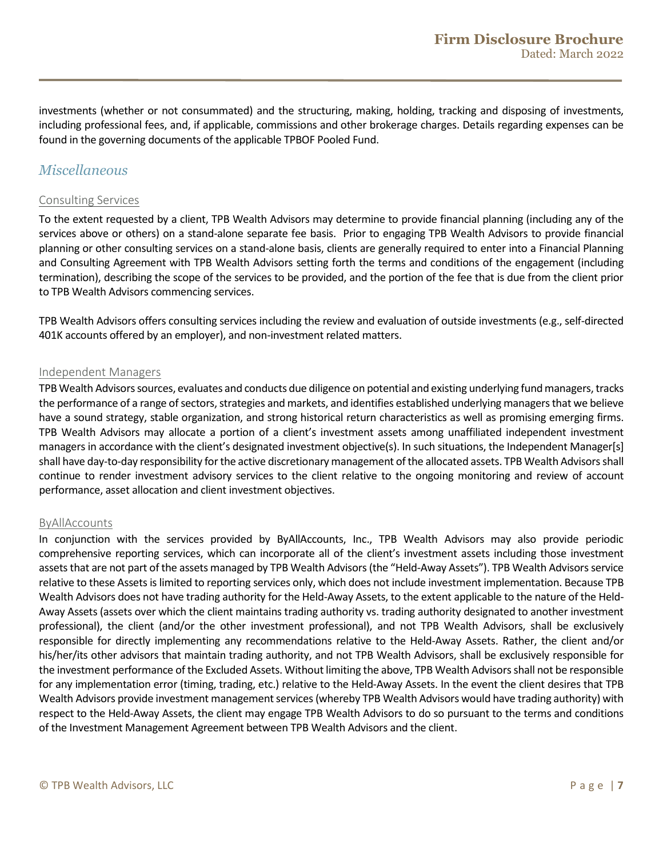investments (whether or not consummated) and the structuring, making, holding, tracking and disposing of investments, including professional fees, and, if applicable, commissions and other brokerage charges. Details regarding expenses can be found in the governing documents of the applicable TPBOF Pooled Fund.

### *Miscellaneous*

#### Consulting Services

To the extent requested by a client, TPB Wealth Advisors may determine to provide financial planning (including any of the services above or others) on a stand-alone separate fee basis. Prior to engaging TPB Wealth Advisors to provide financial planning or other consulting services on a stand-alone basis, clients are generally required to enter into a Financial Planning and Consulting Agreement with TPB Wealth Advisors setting forth the terms and conditions of the engagement (including termination), describing the scope of the services to be provided, and the portion of the fee that is due from the client prior to TPB Wealth Advisors commencing services.

TPB Wealth Advisors offers consulting services including the review and evaluation of outside investments (e.g., self-directed 401K accounts offered by an employer), and non-investment related matters.

#### Independent Managers

TPB Wealth Advisorssources, evaluates and conducts due diligence on potential and existing underlying fund managers, tracks the performance of a range of sectors, strategies and markets, and identifies established underlying managers that we believe have a sound strategy, stable organization, and strong historical return characteristics as well as promising emerging firms. TPB Wealth Advisors may allocate a portion of a client's investment assets among unaffiliated independent investment managers in accordance with the client's designated investment objective(s). In such situations, the Independent Manager[s] shall have day-to-day responsibility for the active discretionary management of the allocated assets. TPB Wealth Advisorsshall continue to render investment advisory services to the client relative to the ongoing monitoring and review of account performance, asset allocation and client investment objectives.

#### ByAllAccounts

In conjunction with the services provided by ByAllAccounts, Inc., TPB Wealth Advisors may also provide periodic comprehensive reporting services, which can incorporate all of the client's investment assets including those investment assets that are not part of the assets managed by TPB Wealth Advisors (the "Held-Away Assets"). TPB Wealth Advisors service relative to these Assets is limited to reporting services only, which does not include investment implementation. Because TPB Wealth Advisors does not have trading authority for the Held-Away Assets, to the extent applicable to the nature of the Held-Away Assets (assets over which the client maintains trading authority vs. trading authority designated to another investment professional), the client (and/or the other investment professional), and not TPB Wealth Advisors, shall be exclusively responsible for directly implementing any recommendations relative to the Held-Away Assets. Rather, the client and/or his/her/its other advisors that maintain trading authority, and not TPB Wealth Advisors, shall be exclusively responsible for the investment performance of the Excluded Assets. Without limiting the above, TPB Wealth Advisorsshall not be responsible for any implementation error (timing, trading, etc.) relative to the Held-Away Assets. In the event the client desires that TPB Wealth Advisors provide investment management services (whereby TPB Wealth Advisors would have trading authority) with respect to the Held-Away Assets, the client may engage TPB Wealth Advisors to do so pursuant to the terms and conditions of the Investment Management Agreement between TPB Wealth Advisors and the client.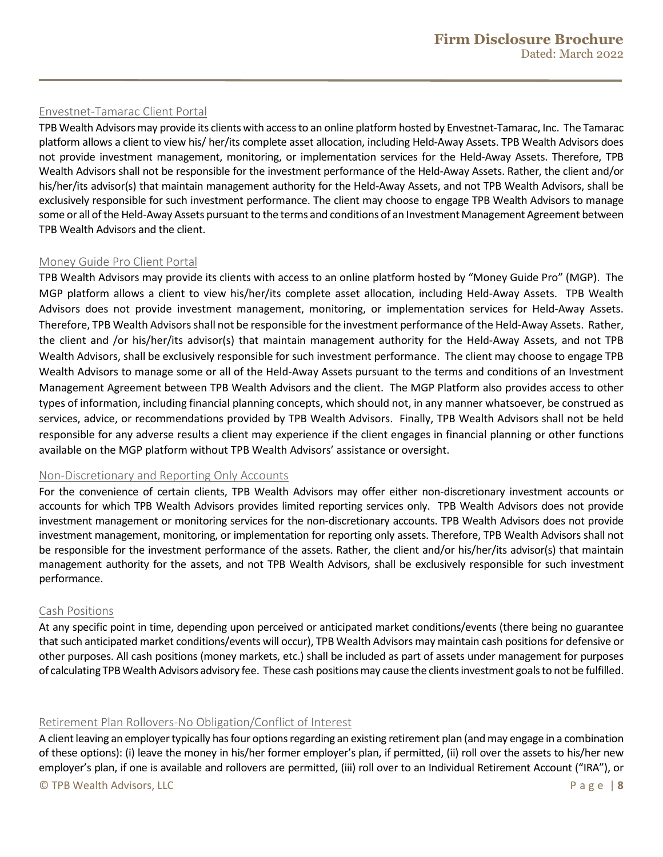#### Envestnet-Tamarac Client Portal

TPB Wealth Advisorsmay provide its clients with access to an online platform hosted by Envestnet-Tamarac, Inc. The Tamarac platform allows a client to view his/ her/its complete asset allocation, including Held-Away Assets. TPB Wealth Advisors does not provide investment management, monitoring, or implementation services for the Held-Away Assets. Therefore, TPB Wealth Advisors shall not be responsible for the investment performance of the Held-Away Assets. Rather, the client and/or his/her/its advisor(s) that maintain management authority for the Held-Away Assets, and not TPB Wealth Advisors, shall be exclusively responsible for such investment performance. The client may choose to engage TPB Wealth Advisors to manage some or all of the Held-Away Assets pursuant to the terms and conditions of an Investment Management Agreement between TPB Wealth Advisors and the client.

#### Money Guide Pro Client Portal

TPB Wealth Advisors may provide its clients with access to an online platform hosted by "Money Guide Pro" (MGP). The MGP platform allows a client to view his/her/its complete asset allocation, including Held-Away Assets. TPB Wealth Advisors does not provide investment management, monitoring, or implementation services for Held-Away Assets. Therefore, TPB Wealth Advisorsshall not be responsible for the investment performance of the Held-Away Assets. Rather, the client and /or his/her/its advisor(s) that maintain management authority for the Held-Away Assets, and not TPB Wealth Advisors, shall be exclusively responsible for such investment performance. The client may choose to engage TPB Wealth Advisors to manage some or all of the Held-Away Assets pursuant to the terms and conditions of an Investment Management Agreement between TPB Wealth Advisors and the client. The MGP Platform also provides access to other types of information, including financial planning concepts, which should not, in any manner whatsoever, be construed as services, advice, or recommendations provided by TPB Wealth Advisors. Finally, TPB Wealth Advisors shall not be held responsible for any adverse results a client may experience if the client engages in financial planning or other functions available on the MGP platform without TPB Wealth Advisors' assistance or oversight.

#### Non-Discretionary and Reporting Only Accounts

For the convenience of certain clients, TPB Wealth Advisors may offer either non-discretionary investment accounts or accounts for which TPB Wealth Advisors provides limited reporting services only. TPB Wealth Advisors does not provide investment management or monitoring services for the non-discretionary accounts. TPB Wealth Advisors does not provide investment management, monitoring, or implementation for reporting only assets. Therefore, TPB Wealth Advisors shall not be responsible for the investment performance of the assets. Rather, the client and/or his/her/its advisor(s) that maintain management authority for the assets, and not TPB Wealth Advisors, shall be exclusively responsible for such investment performance.

#### Cash Positions

At any specific point in time, depending upon perceived or anticipated market conditions/events (there being no guarantee that such anticipated market conditions/events will occur), TPB Wealth Advisors may maintain cash positions for defensive or other purposes. All cash positions (money markets, etc.) shall be included as part of assets under management for purposes of calculating TPB Wealth Advisors advisory fee. These cash positions may cause the clients investment goals to not be fulfilled.

#### Retirement Plan Rollovers-No Obligation/Conflict of Interest

A client leaving an employer typically has four options regarding an existing retirement plan (and may engage in a combination of these options): (i) leave the money in his/her former employer's plan, if permitted, (ii) roll over the assets to his/her new employer's plan, if one is available and rollovers are permitted, (iii) roll over to an Individual Retirement Account ("IRA"), or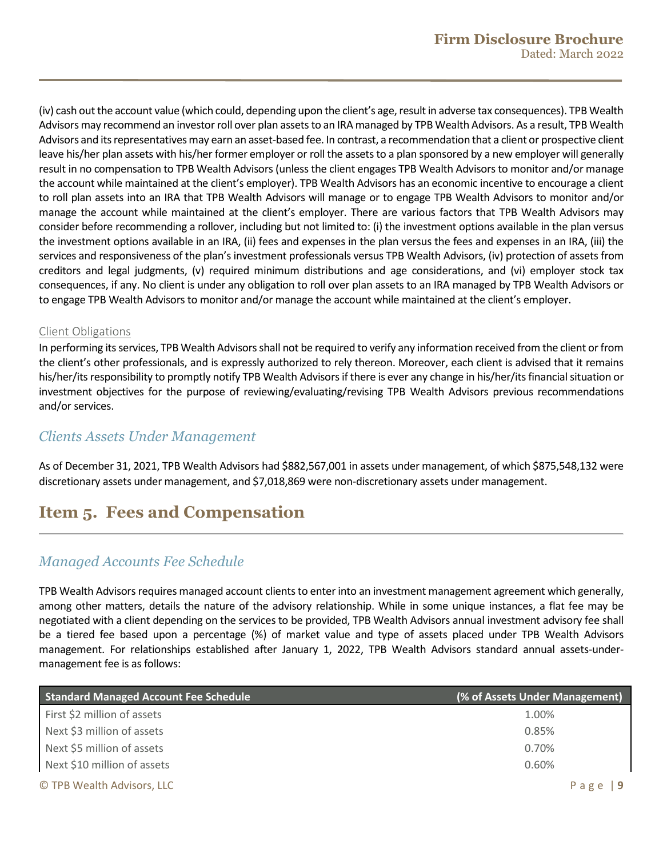(iv) cash out the account value (which could, depending upon the client's age, result in adverse tax consequences). TPB Wealth Advisors may recommend an investor roll over plan assets to an IRA managed by TPB Wealth Advisors. As a result, TPB Wealth Advisors and its representatives may earn an asset-based fee. In contrast, a recommendation that a client or prospective client leave his/her plan assets with his/her former employer or roll the assets to a plan sponsored by a new employer will generally result in no compensation to TPB Wealth Advisors (unless the client engages TPB Wealth Advisors to monitor and/or manage the account while maintained at the client's employer). TPB Wealth Advisors has an economic incentive to encourage a client to roll plan assets into an IRA that TPB Wealth Advisors will manage or to engage TPB Wealth Advisors to monitor and/or manage the account while maintained at the client's employer. There are various factors that TPB Wealth Advisors may consider before recommending a rollover, including but not limited to: (i) the investment options available in the plan versus the investment options available in an IRA, (ii) fees and expenses in the plan versus the fees and expenses in an IRA, (iii) the services and responsiveness of the plan's investment professionals versus TPB Wealth Advisors, (iv) protection of assets from creditors and legal judgments, (v) required minimum distributions and age considerations, and (vi) employer stock tax consequences, if any. No client is under any obligation to roll over plan assets to an IRA managed by TPB Wealth Advisors or to engage TPB Wealth Advisorsto monitor and/or manage the account while maintained at the client's employer.

#### Client Obligations

In performing its services, TPB Wealth Advisorsshall not be required to verify any information received from the client or from the client's other professionals, and is expressly authorized to rely thereon. Moreover, each client is advised that it remains his/her/its responsibility to promptly notify TPB Wealth Advisorsif there is ever any change in his/her/its financial situation or investment objectives for the purpose of reviewing/evaluating/revising TPB Wealth Advisors previous recommendations and/or services.

### *Clients Assets Under Management*

As of December 31, 2021, TPB Wealth Advisors had \$882,567,001 in assets under management, of which \$875,548,132 were discretionary assets under management, and \$7,018,869 were non-discretionary assets under management.

# <span id="page-8-0"></span>**Item 5. Fees and Compensation**

### *Managed Accounts Fee Schedule*

TPB Wealth Advisors requires managed account clients to enter into an investment management agreement which generally, among other matters, details the nature of the advisory relationship. While in some unique instances, a flat fee may be negotiated with a client depending on the services to be provided, TPB Wealth Advisors annual investment advisory fee shall be a tiered fee based upon a percentage (%) of market value and type of assets placed under TPB Wealth Advisors management. For relationships established after January 1, 2022, TPB Wealth Advisors standard annual assets-undermanagement fee is as follows:

| <b>Standard Managed Account Fee Schedule</b> | (% of Assets Under Management) |
|----------------------------------------------|--------------------------------|
| First \$2 million of assets                  | 1.00%                          |
| Next \$3 million of assets                   | 0.85%                          |
| Next \$5 million of assets                   | 0.70%                          |
| Next \$10 million of assets                  | 0.60%                          |
| © TPB Wealth Advisors, LLC                   | Page                           |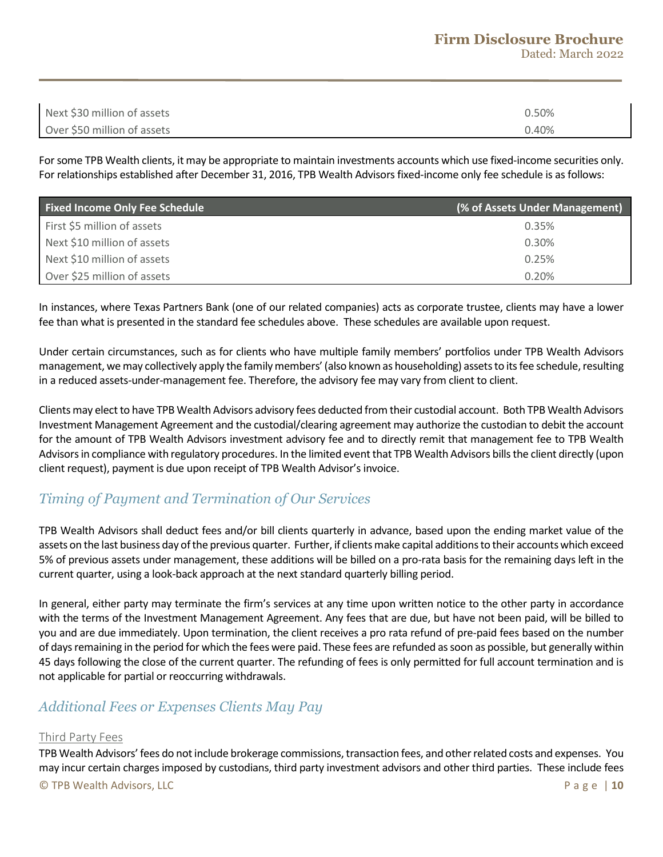### **Firm Disclosure Brochure**

Dated: March 2022

| Next \$30 million of assets | 0.50% |
|-----------------------------|-------|
| Over \$50 million of assets | 0.40% |

For some TPB Wealth clients, it may be appropriate to maintain investments accounts which use fixed-income securities only. For relationships established after December 31, 2016, TPB Wealth Advisors fixed-income only fee schedule is as follows:

| <b>Fixed Income Only Fee Schedule</b> | (% of Assets Under Management) |
|---------------------------------------|--------------------------------|
| First \$5 million of assets           | 0.35%                          |
| Next \$10 million of assets           | 0.30%                          |
| Next \$10 million of assets           | 0.25%                          |
| Over \$25 million of assets           | 0.20%                          |

In instances, where Texas Partners Bank (one of our related companies) acts as corporate trustee, clients may have a lower fee than what is presented in the standard fee schedules above. These schedules are available upon request.

Under certain circumstances, such as for clients who have multiple family members' portfolios under TPB Wealth Advisors management, we may collectively apply the family members' (also known as householding) assets to its fee schedule, resulting in a reduced assets-under-management fee. Therefore, the advisory fee may vary from client to client.

Clients may elect to have TPB Wealth Advisors advisory fees deducted from their custodial account. Both TPB Wealth Advisors Investment Management Agreement and the custodial/clearing agreement may authorize the custodian to debit the account for the amount of TPB Wealth Advisors investment advisory fee and to directly remit that management fee to TPB Wealth Advisors in compliance with regulatory procedures. In the limited event that TPB Wealth Advisors bills the client directly (upon client request), payment is due upon receipt of TPB Wealth Advisor's invoice.

### *Timing of Payment and Termination of Our Services*

TPB Wealth Advisors shall deduct fees and/or bill clients quarterly in advance, based upon the ending market value of the assets on the last business day of the previous quarter. Further, if clients make capital additions to their accounts which exceed 5% of previous assets under management, these additions will be billed on a pro-rata basis for the remaining days left in the current quarter, using a look-back approach at the next standard quarterly billing period.

In general, either party may terminate the firm's services at any time upon written notice to the other party in accordance with the terms of the Investment Management Agreement. Any fees that are due, but have not been paid, will be billed to you and are due immediately. Upon termination, the client receives a pro rata refund of pre-paid fees based on the number of days remaining in the period for which the fees were paid. These fees are refunded as soon as possible, but generally within 45 days following the close of the current quarter. The refunding of fees is only permitted for full account termination and is not applicable for partial or reoccurring withdrawals.

### *Additional Fees or Expenses Clients May Pay*

#### Third Party Fees

© TPB Wealth Advisors, LLC Page | **10** TPB Wealth Advisors' fees do not include brokerage commissions, transaction fees, and other related costs and expenses. You may incur certain charges imposed by custodians, third party investment advisors and other third parties. These include fees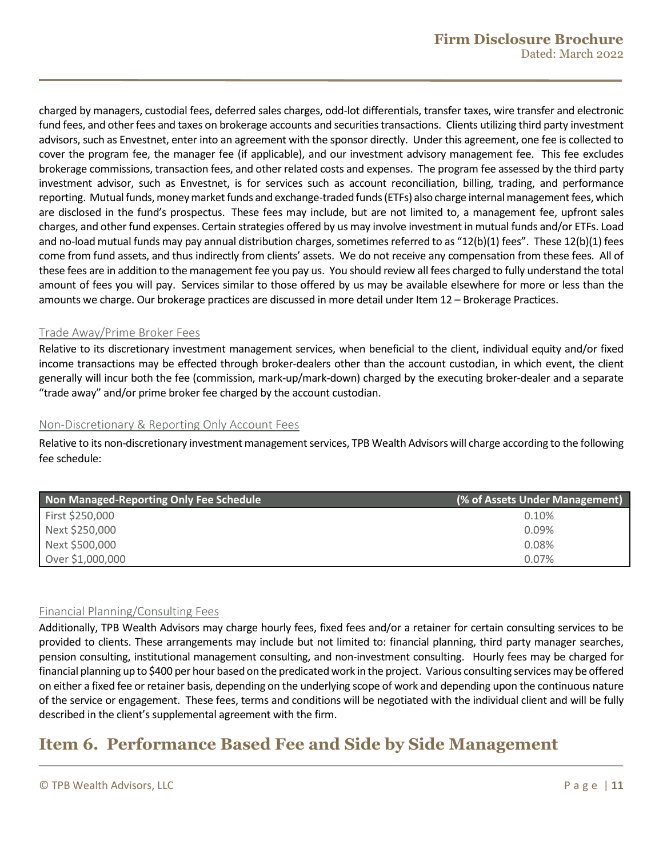charged by managers, custodial fees, deferred sales charges, odd-lot differentials, transfer taxes, wire transfer and electronic fund fees, and other fees and taxes on brokerage accounts and securities transactions. Clients utilizing third party investment advisors, such as Envestnet, enter into an agreement with the sponsor directly. Under this agreement, one fee is collected to cover the program fee, the manager fee (if applicable), and our investment advisory management fee. This fee excludes brokerage commissions, transaction fees, and other related costs and expenses. The program fee assessed by the third party investment advisor, such as Envestnet, is for services such as account reconciliation, billing, trading, and performance reporting. Mutual funds, money market funds and exchange-traded funds (ETFs) also charge internal management fees, which are disclosed in the fund's prospectus. These fees may include, but are not limited to, a management fee, upfront sales charges, and other fund expenses. Certain strategies offered by us may involve investment in mutual funds and/or ETFs. Load and no-load mutual funds may pay annual distribution charges, sometimes referred to as "12(b)(1) fees". These 12(b)(1) fees come from fund assets, and thus indirectly from clients' assets. We do not receive any compensation from these fees. All of these fees are in addition to the management fee you pay us. You should review all fees charged to fully understand the total amount of fees you will pay. Services similar to those offered by us may be available elsewhere for more or less than the amounts we charge. Our brokerage practices are discussed in more detail under Item 12 – Brokerage Practices.

#### Trade Away/Prime Broker Fees

Relative to its discretionary investment management services, when beneficial to the client, individual equity and/or fixed income transactions may be effected through broker-dealers other than the account custodian, in which event, the client generally will incur both the fee (commission, mark-up/mark-down) charged by the executing broker-dealer and a separate "trade away" and/or prime broker fee charged by the account custodian.

#### Non-Discretionary & Reporting Only Account Fees

Relative to its non-discretionary investment management services, TPB Wealth Advisors will charge according to the following fee schedule:

| Non Managed-Reporting Only Fee Schedule | (% of Assets Under Management) |
|-----------------------------------------|--------------------------------|
| First \$250,000                         | 0.10%                          |
| Next \$250,000                          | 0.09%                          |
| Next \$500,000                          | 0.08%                          |
| Over \$1,000,000                        | 0.07%                          |

#### Financial Planning/Consulting Fees

Additionally, TPB Wealth Advisors may charge hourly fees, fixed fees and/or a retainer for certain consulting services to be provided to clients. These arrangements may include but not limited to: financial planning, third party manager searches, pension consulting, institutional management consulting, and non-investment consulting. Hourly fees may be charged for financial planning up to \$400 per hour based on the predicated work in the project. Various consulting services may be offered on either a fixed fee or retainer basis, depending on the underlying scope of work and depending upon the continuous nature of the service or engagement. These fees, terms and conditions will be negotiated with the individual client and will be fully described in the client's supplemental agreement with the firm.

# <span id="page-10-0"></span>**Item 6. Performance Based Fee and Side by Side Management**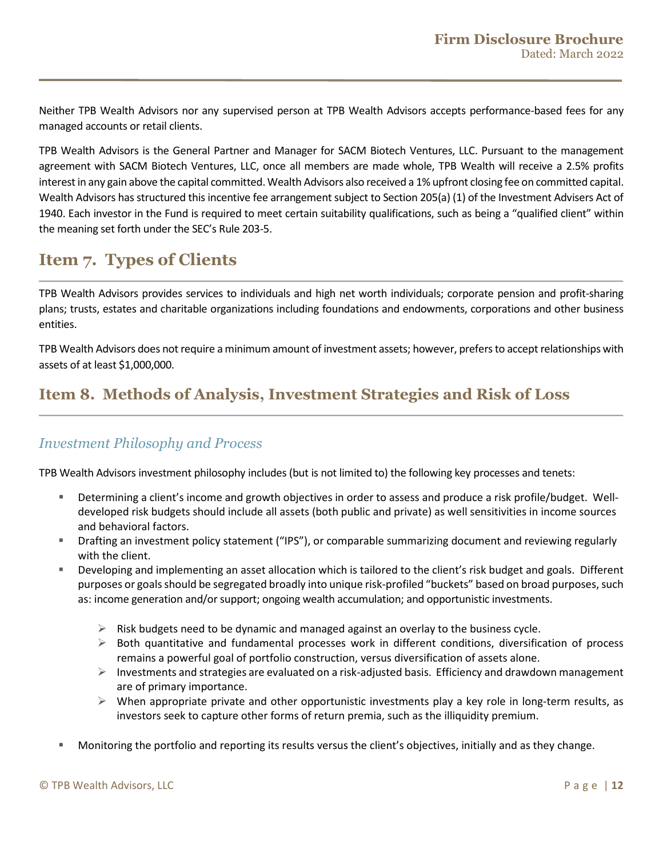Neither TPB Wealth Advisors nor any supervised person at TPB Wealth Advisors accepts performance-based fees for any managed accounts or retail clients.

TPB Wealth Advisors is the General Partner and Manager for SACM Biotech Ventures, LLC. Pursuant to the management agreement with SACM Biotech Ventures, LLC, once all members are made whole, TPB Wealth will receive a 2.5% profits interest in any gain above the capital committed. Wealth Advisors also received a 1% upfront closing fee on committed capital. Wealth Advisors has structured this incentive fee arrangement subject to Section 205(a) (1) of the Investment Advisers Act of 1940. Each investor in the Fund is required to meet certain suitability qualifications, such as being a "qualified client" within the meaning set forth under the SEC's Rule 203-5.

# <span id="page-11-0"></span>**Item 7. Types of Clients**

TPB Wealth Advisors provides services to individuals and high net worth individuals; corporate pension and profit-sharing plans; trusts, estates and charitable organizations including foundations and endowments, corporations and other business entities.

TPB Wealth Advisors does not require a minimum amount of investment assets; however, prefers to accept relationships with assets of at least \$1,000,000.

# <span id="page-11-1"></span>**Item 8. Methods of Analysis, Investment Strategies and Risk of Loss**

### *Investment Philosophy and Process*

TPB Wealth Advisors investment philosophy includes (but is not limited to) the following key processes and tenets:

- Determining a client's income and growth objectives in order to assess and produce a risk profile/budget. Welldeveloped risk budgets should include all assets (both public and private) as well sensitivities in income sources and behavioral factors.
- Drafting an investment policy statement ("IPS"), or comparable summarizing document and reviewing regularly with the client.
- Developing and implementing an asset allocation which is tailored to the client's risk budget and goals. Different purposes or goalsshould be segregated broadly into unique risk-profiled "buckets" based on broad purposes, such as: income generation and/or support; ongoing wealth accumulation; and opportunistic investments.
	- $\triangleright$  Risk budgets need to be dynamic and managed against an overlay to the business cycle.
	- $\triangleright$  Both quantitative and fundamental processes work in different conditions, diversification of process remains a powerful goal of portfolio construction, versus diversification of assets alone.
	- $\triangleright$  Investments and strategies are evaluated on a risk-adjusted basis. Efficiency and drawdown management are of primary importance.
	- $\triangleright$  When appropriate private and other opportunistic investments play a key role in long-term results, as investors seek to capture other forms of return premia, such as the illiquidity premium.
- Monitoring the portfolio and reporting its results versus the client's objectives, initially and as they change.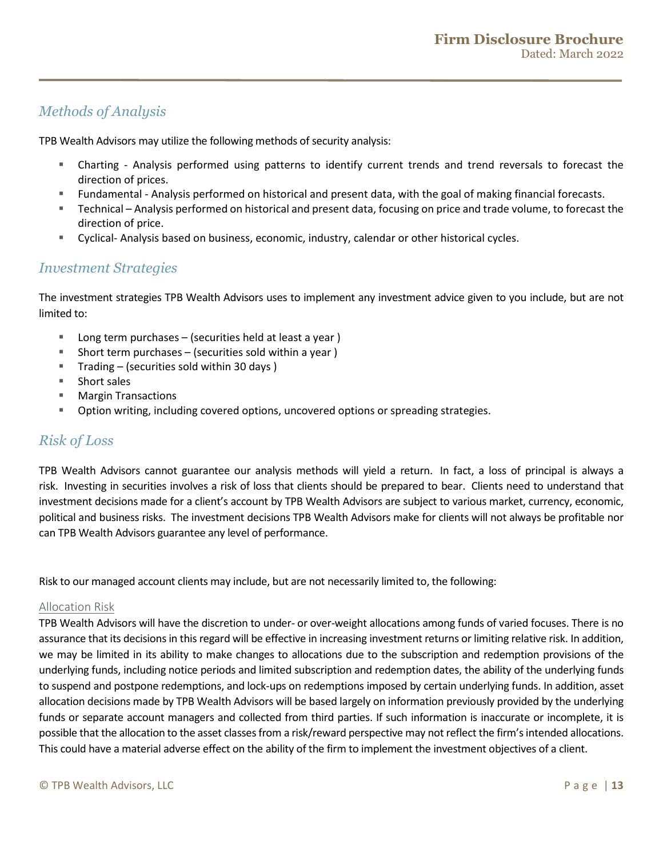### *Methods of Analysis*

TPB Wealth Advisors may utilize the following methods of security analysis:

- Charting Analysis performed using patterns to identify current trends and trend reversals to forecast the direction of prices.
- Fundamental Analysis performed on historical and present data, with the goal of making financial forecasts.
- Technical Analysis performed on historical and present data, focusing on price and trade volume, to forecast the direction of price.
- Cyclical- Analysis based on business, economic, industry, calendar or other historical cycles.

### *Investment Strategies*

The investment strategies TPB Wealth Advisors uses to implement any investment advice given to you include, but are not limited to:

- Long term purchases (securities held at least a year )
- Short term purchases  $-$  (securities sold within a year)
- Trading  $-$  (securities sold within 30 days)
- Short sales
- Margin Transactions
- Option writing, including covered options, uncovered options or spreading strategies.

### *Risk of Loss*

TPB Wealth Advisors cannot guarantee our analysis methods will yield a return. In fact, a loss of principal is always a risk. Investing in securities involves a risk of loss that clients should be prepared to bear. Clients need to understand that investment decisions made for a client's account by TPB Wealth Advisors are subject to various market, currency, economic, political and business risks. The investment decisions TPB Wealth Advisors make for clients will not always be profitable nor can TPB Wealth Advisors guarantee any level of performance.

Risk to our managed account clients may include, but are not necessarily limited to, the following:

#### Allocation Risk

TPB Wealth Advisors will have the discretion to under- or over-weight allocations among funds of varied focuses. There is no assurance that its decisions in this regard will be effective in increasing investment returns or limiting relative risk. In addition, we may be limited in its ability to make changes to allocations due to the subscription and redemption provisions of the underlying funds, including notice periods and limited subscription and redemption dates, the ability of the underlying funds to suspend and postpone redemptions, and lock-ups on redemptions imposed by certain underlying funds. In addition, asset allocation decisions made by TPB Wealth Advisors will be based largely on information previously provided by the underlying funds or separate account managers and collected from third parties. If such information is inaccurate or incomplete, it is possible that the allocation to the asset classes from a risk/reward perspective may not reflect the firm's intended allocations. This could have a material adverse effect on the ability of the firm to implement the investment objectives of a client.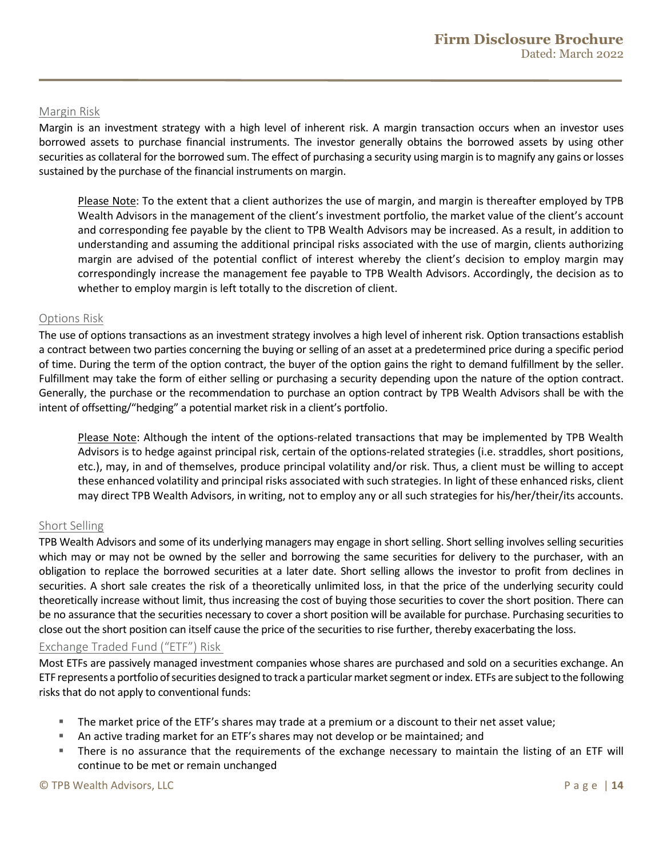#### Margin Risk

Margin is an investment strategy with a high level of inherent risk. A margin transaction occurs when an investor uses borrowed assets to purchase financial instruments. The investor generally obtains the borrowed assets by using other securities as collateral for the borrowed sum. The effect of purchasing a security using margin is to magnify any gains or losses sustained by the purchase of the financial instruments on margin.

 Please Note: To the extent that a client authorizes the use of margin, and margin is thereafter employed by TPB Wealth Advisors in the management of the client's investment portfolio, the market value of the client's account and corresponding fee payable by the client to TPB Wealth Advisors may be increased. As a result, in addition to understanding and assuming the additional principal risks associated with the use of margin, clients authorizing margin are advised of the potential conflict of interest whereby the client's decision to employ margin may correspondingly increase the management fee payable to TPB Wealth Advisors. Accordingly, the decision as to whether to employ margin is left totally to the discretion of client.

#### Options Risk

The use of options transactions as an investment strategy involves a high level of inherent risk. Option transactions establish a contract between two parties concerning the buying or selling of an asset at a predetermined price during a specific period of time. During the term of the option contract, the buyer of the option gains the right to demand fulfillment by the seller. Fulfillment may take the form of either selling or purchasing a security depending upon the nature of the option contract. Generally, the purchase or the recommendation to purchase an option contract by TPB Wealth Advisors shall be with the intent of offsetting/"hedging" a potential market risk in a client's portfolio.

 Please Note: Although the intent of the options-related transactions that may be implemented by TPB Wealth Advisors is to hedge against principal risk, certain of the options-related strategies (i.e. straddles, short positions, etc.), may, in and of themselves, produce principal volatility and/or risk. Thus, a client must be willing to accept these enhanced volatility and principal risks associated with such strategies. In light of these enhanced risks, client may direct TPB Wealth Advisors, in writing, not to employ any or all such strategies for his/her/their/its accounts.

#### Short Selling

TPB Wealth Advisors and some of its underlying managers may engage in short selling. Short selling involves selling securities which may or may not be owned by the seller and borrowing the same securities for delivery to the purchaser, with an obligation to replace the borrowed securities at a later date. Short selling allows the investor to profit from declines in securities. A short sale creates the risk of a theoretically unlimited loss, in that the price of the underlying security could theoretically increase without limit, thus increasing the cost of buying those securities to cover the short position. There can be no assurance that the securities necessary to cover a short position will be available for purchase. Purchasing securities to close out the short position can itself cause the price of the securities to rise further, thereby exacerbating the loss.

#### Exchange Traded Fund ("ETF") Risk

Most ETFs are passively managed investment companies whose shares are purchased and sold on a securities exchange. An ETF represents a portfolio of securities designed to track a particular market segment or index. ETFs are subject to the following risks that do not apply to conventional funds:

- The market price of the ETF's shares may trade at a premium or a discount to their net asset value;
- An active trading market for an ETF's shares may not develop or be maintained; and
- There is no assurance that the requirements of the exchange necessary to maintain the listing of an ETF will continue to be met or remain unchanged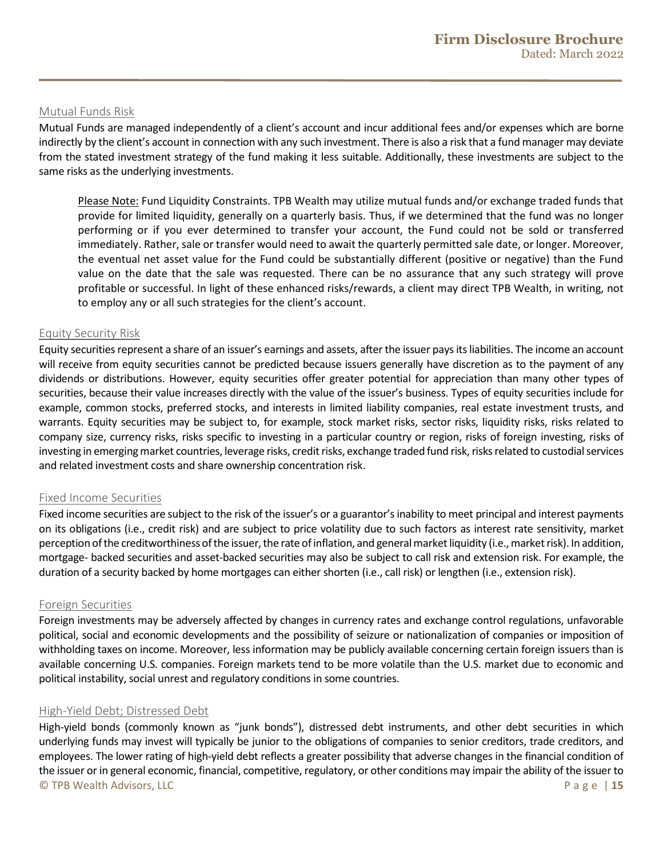#### Mutual Funds Risk

Mutual Funds are managed independently of a client's account and incur additional fees and/or expenses which are borne indirectly by the client's account in connection with any such investment. There is also a risk that a fund manager may deviate from the stated investment strategy of the fund making it less suitable. Additionally, these investments are subject to the same risks as the underlying investments.

Please Note: Fund Liquidity Constraints. TPB Wealth may utilize mutual funds and/or exchange traded funds that provide for limited liquidity, generally on a quarterly basis. Thus, if we determined that the fund was no longer performing or if you ever determined to transfer your account, the Fund could not be sold or transferred immediately. Rather, sale or transfer would need to await the quarterly permitted sale date, or longer. Moreover, the eventual net asset value for the Fund could be substantially different (positive or negative) than the Fund value on the date that the sale was requested. There can be no assurance that any such strategy will prove profitable or successful. In light of these enhanced risks/rewards, a client may direct TPB Wealth, in writing, not to employ any or all such strategies for the client's account.

#### Equity Security Risk

Equity securities represent a share of an issuer's earnings and assets, after the issuer pays its liabilities. The income an account will receive from equity securities cannot be predicted because issuers generally have discretion as to the payment of any dividends or distributions. However, equity securities offer greater potential for appreciation than many other types of securities, because their value increases directly with the value of the issuer's business. Types of equity securities include for example, common stocks, preferred stocks, and interests in limited liability companies, real estate investment trusts, and warrants. Equity securities may be subject to, for example, stock market risks, sector risks, liquidity risks, risks related to company size, currency risks, risks specific to investing in a particular country or region, risks of foreign investing, risks of investing in emerging market countries, leverage risks, credit risks, exchange traded fund risk, risks related to custodial services and related investment costs and share ownership concentration risk.

#### Fixed Income Securities

Fixed income securities are subject to the risk of the issuer's or a guarantor's inability to meet principal and interest payments on its obligations (i.e., credit risk) and are subject to price volatility due to such factors as interest rate sensitivity, market perception of the creditworthiness of the issuer, the rate of inflation, and general market liquidity (i.e., market risk). In addition, mortgage- backed securities and asset-backed securities may also be subject to call risk and extension risk. For example, the duration of a security backed by home mortgages can either shorten (i.e., call risk) or lengthen (i.e., extension risk).

#### Foreign Securities

Foreign investments may be adversely affected by changes in currency rates and exchange control regulations, unfavorable political, social and economic developments and the possibility of seizure or nationalization of companies or imposition of withholding taxes on income. Moreover, less information may be publicly available concerning certain foreign issuers than is available concerning U.S. companies. Foreign markets tend to be more volatile than the U.S. market due to economic and political instability, social unrest and regulatory conditions in some countries.

#### High-Yield Debt; Distressed Debt

© TPB Wealth Advisors, LLC Page | **15** High-yield bonds (commonly known as "junk bonds"), distressed debt instruments, and other debt securities in which underlying funds may invest will typically be junior to the obligations of companies to senior creditors, trade creditors, and employees. The lower rating of high-yield debt reflects a greater possibility that adverse changes in the financial condition of the issuer or in general economic, financial, competitive, regulatory, or other conditions may impair the ability of the issuer to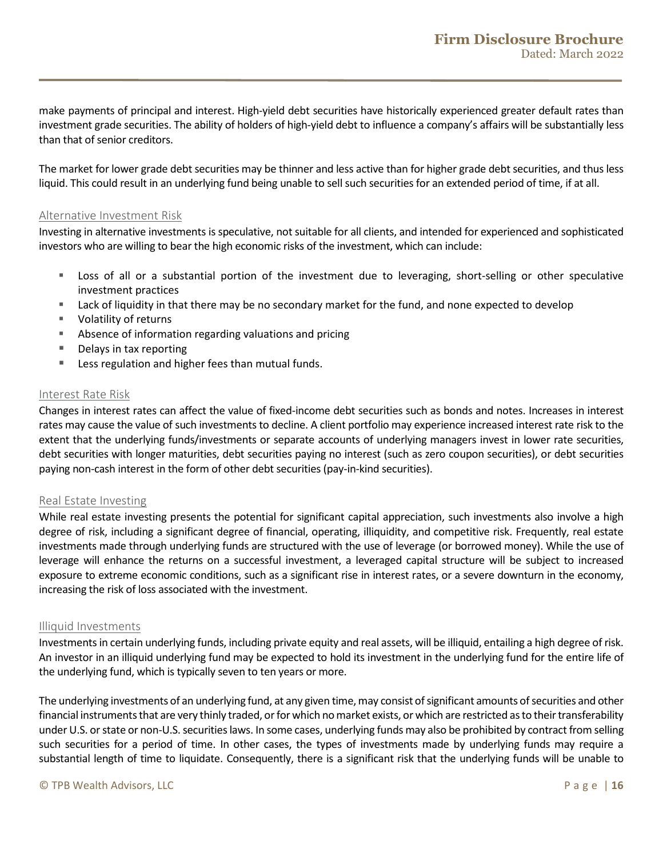make payments of principal and interest. High-yield debt securities have historically experienced greater default rates than investment grade securities. The ability of holders of high-yield debt to influence a company's affairs will be substantially less than that of senior creditors.

The market for lower grade debt securities may be thinner and less active than for higher grade debt securities, and thus less liquid. This could result in an underlying fund being unable to sell such securities for an extended period of time, if at all.

#### Alternative Investment Risk

Investing in alternative investments is speculative, not suitable for all clients, and intended for experienced and sophisticated investors who are willing to bear the high economic risks of the investment, which can include:

- Loss of all or a substantial portion of the investment due to leveraging, short-selling or other speculative investment practices
- Lack of liquidity in that there may be no secondary market for the fund, and none expected to develop
- Volatility of returns
- **Absence of information regarding valuations and pricing**
- Delays in tax reporting
- Less regulation and higher fees than mutual funds.

#### Interest Rate Risk

Changes in interest rates can affect the value of fixed-income debt securities such as bonds and notes. Increases in interest rates may cause the value of such investments to decline. A client portfolio may experience increased interest rate risk to the extent that the underlying funds/investments or separate accounts of underlying managers invest in lower rate securities, debt securities with longer maturities, debt securities paying no interest (such as zero coupon securities), or debt securities paying non-cash interest in the form of other debt securities (pay-in-kind securities).

#### Real Estate Investing

While real estate investing presents the potential for significant capital appreciation, such investments also involve a high degree of risk, including a significant degree of financial, operating, illiquidity, and competitive risk. Frequently, real estate investments made through underlying funds are structured with the use of leverage (or borrowed money). While the use of leverage will enhance the returns on a successful investment, a leveraged capital structure will be subject to increased exposure to extreme economic conditions, such as a significant rise in interest rates, or a severe downturn in the economy, increasing the risk of loss associated with the investment.

#### Illiquid Investments

Investments in certain underlying funds, including private equity and real assets, will be illiquid, entailing a high degree of risk. An investor in an illiquid underlying fund may be expected to hold its investment in the underlying fund for the entire life of the underlying fund, which is typically seven to ten years or more.

The underlying investments of an underlying fund, at any given time, may consist of significant amounts of securities and other financial instruments that are very thinly traded, or for which no market exists, or which are restricted as to their transferability under U.S. or state or non-U.S. securities laws. In some cases, underlying funds may also be prohibited by contract from selling such securities for a period of time. In other cases, the types of investments made by underlying funds may require a substantial length of time to liquidate. Consequently, there is a significant risk that the underlying funds will be unable to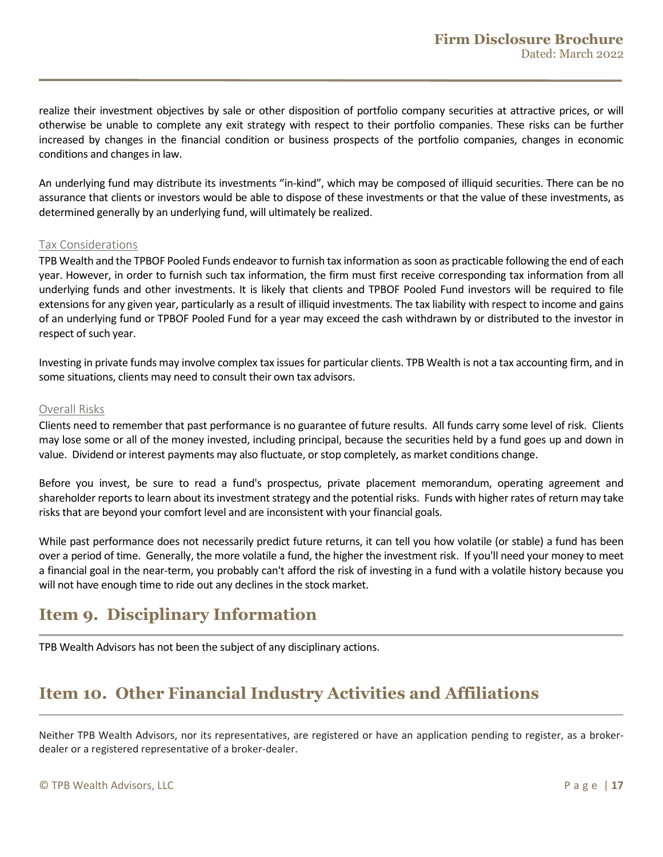realize their investment objectives by sale or other disposition of portfolio company securities at attractive prices, or will otherwise be unable to complete any exit strategy with respect to their portfolio companies. These risks can be further increased by changes in the financial condition or business prospects of the portfolio companies, changes in economic conditions and changes in law.

An underlying fund may distribute its investments "in-kind", which may be composed of illiquid securities. There can be no assurance that clients or investors would be able to dispose of these investments or that the value of these investments, as determined generally by an underlying fund, will ultimately be realized.

#### Tax Considerations

TPB Wealth and the TPBOF Pooled Funds endeavor to furnish tax information as soon as practicable following the end of each year. However, in order to furnish such tax information, the firm must first receive corresponding tax information from all underlying funds and other investments. It is likely that clients and TPBOF Pooled Fund investors will be required to file extensions for any given year, particularly as a result of illiquid investments. The tax liability with respect to income and gains of an underlying fund or TPBOF Pooled Fund for a year may exceed the cash withdrawn by or distributed to the investor in respect of such year.

Investing in private funds may involve complex tax issues for particular clients. TPB Wealth is not a tax accounting firm, and in some situations, clients may need to consult their own tax advisors.

#### Overall Risks

Clients need to remember that past performance is no guarantee of future results. All funds carry some level of risk. Clients may lose some or all of the money invested, including principal, because the securities held by a fund goes up and down in value. Dividend or interest payments may also fluctuate, or stop completely, as market conditions change.

Before you invest, be sure to read a fund's prospectus, private placement memorandum, operating agreement and shareholder reports to learn about its investment strategy and the potential risks. Funds with higher rates of return may take risks that are beyond your comfort level and are inconsistent with your financial goals.

While past performance does not necessarily predict future returns, it can tell you how volatile (or stable) a fund has been over a period of time. Generally, the more volatile a fund, the higher the investment risk. If you'll need your money to meet a financial goal in the near-term, you probably can't afford the risk of investing in a fund with a volatile history because you will not have enough time to ride out any declines in the stock market.

# <span id="page-16-0"></span>**Item 9. Disciplinary Information**

<span id="page-16-1"></span>TPB Wealth Advisors has not been the subject of any disciplinary actions.

# **Item 10. Other Financial Industry Activities and Affiliations**

Neither TPB Wealth Advisors, nor its representatives, are registered or have an application pending to register, as a brokerdealer or a registered representative of a broker-dealer.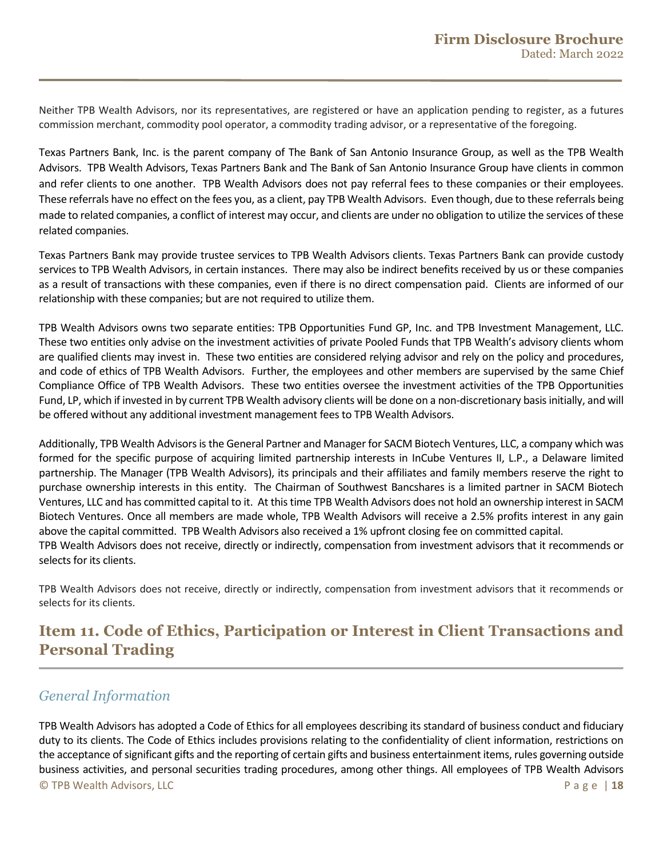Neither TPB Wealth Advisors, nor its representatives, are registered or have an application pending to register, as a futures commission merchant, commodity pool operator, a commodity trading advisor, or a representative of the foregoing.

Texas Partners Bank, Inc. is the parent company of The Bank of San Antonio Insurance Group, as well as the TPB Wealth Advisors. TPB Wealth Advisors, Texas Partners Bank and The Bank of San Antonio Insurance Group have clients in common and refer clients to one another. TPB Wealth Advisors does not pay referral fees to these companies or their employees. These referrals have no effect on the fees you, as a client, pay TPB Wealth Advisors. Even though, due to these referrals being made to related companies, a conflict of interest may occur, and clients are under no obligation to utilize the services of these related companies.

Texas Partners Bank may provide trustee services to TPB Wealth Advisors clients. Texas Partners Bank can provide custody services to TPB Wealth Advisors, in certain instances. There may also be indirect benefits received by us or these companies as a result of transactions with these companies, even if there is no direct compensation paid. Clients are informed of our relationship with these companies; but are not required to utilize them.

TPB Wealth Advisors owns two separate entities: TPB Opportunities Fund GP, Inc. and TPB Investment Management, LLC. These two entities only advise on the investment activities of private Pooled Funds that TPB Wealth's advisory clients whom are qualified clients may invest in. These two entities are considered relying advisor and rely on the policy and procedures, and code of ethics of TPB Wealth Advisors. Further, the employees and other members are supervised by the same Chief Compliance Office of TPB Wealth Advisors. These two entities oversee the investment activities of the TPB Opportunities Fund, LP, which if invested in by current TPB Wealth advisory clients will be done on a non-discretionary basis initially, and will be offered without any additional investment management fees to TPB Wealth Advisors.

Additionally, TPB Wealth Advisorsis the General Partner and Manager for SACM Biotech Ventures, LLC, a company which was formed for the specific purpose of acquiring limited partnership interests in InCube Ventures II, L.P., a Delaware limited partnership. The Manager (TPB Wealth Advisors), its principals and their affiliates and family members reserve the right to purchase ownership interests in this entity. The Chairman of Southwest Bancshares is a limited partner in SACM Biotech Ventures, LLC and has committed capital to it. At this time TPB Wealth Advisors does not hold an ownership interest in SACM Biotech Ventures. Once all members are made whole, TPB Wealth Advisors will receive a 2.5% profits interest in any gain above the capital committed. TPB Wealth Advisors also received a 1% upfront closing fee on committed capital. TPB Wealth Advisors does not receive, directly or indirectly, compensation from investment advisors that it recommends or selects for its clients.

TPB Wealth Advisors does not receive, directly or indirectly, compensation from investment advisors that it recommends or selects for its clients.

# <span id="page-17-0"></span>**Item 11. Code of Ethics, Participation or Interest in Client Transactions and Personal Trading**

### *General Information*

© TPB Wealth Advisors, LLC Page | **18** TPB Wealth Advisors has adopted a Code of Ethics for all employees describing its standard of business conduct and fiduciary duty to its clients. The Code of Ethics includes provisions relating to the confidentiality of client information, restrictions on the acceptance of significant gifts and the reporting of certain gifts and business entertainment items, rules governing outside business activities, and personal securities trading procedures, among other things. All employees of TPB Wealth Advisors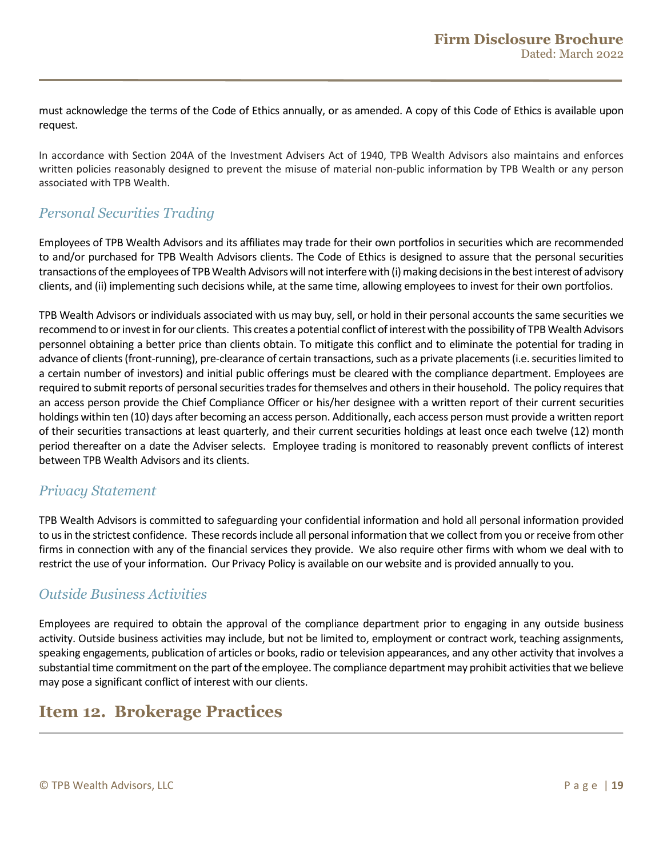must acknowledge the terms of the Code of Ethics annually, or as amended. A copy of this Code of Ethics is available upon request.

In accordance with Section 204A of the Investment Advisers Act of 1940, TPB Wealth Advisors also maintains and enforces written policies reasonably designed to prevent the misuse of material non-public information by TPB Wealth or any person associated with TPB Wealth.

### *Personal Securities Trading*

Employees of TPB Wealth Advisors and its affiliates may trade for their own portfolios in securities which are recommended to and/or purchased for TPB Wealth Advisors clients. The Code of Ethics is designed to assure that the personal securities transactions of the employees of TPB Wealth Advisorswill not interfere with (i) making decisions in the best interest of advisory clients, and (ii) implementing such decisions while, at the same time, allowing employees to invest for their own portfolios.

TPB Wealth Advisors or individuals associated with us may buy, sell, or hold in their personal accounts the same securities we recommend to or invest in for our clients. This creates a potential conflict of interest with the possibility of TPB Wealth Advisors personnel obtaining a better price than clients obtain. To mitigate this conflict and to eliminate the potential for trading in advance of clients (front-running), pre-clearance of certain transactions, such as a private placements (i.e. securities limited to a certain number of investors) and initial public offerings must be cleared with the compliance department. Employees are required to submit reports of personal securities trades for themselves and others in their household. The policy requires that an access person provide the Chief Compliance Officer or his/her designee with a written report of their current securities holdings within ten (10) days after becoming an access person. Additionally, each access person must provide a written report of their securities transactions at least quarterly, and their current securities holdings at least once each twelve (12) month period thereafter on a date the Adviser selects. Employee trading is monitored to reasonably prevent conflicts of interest between TPB Wealth Advisors and its clients.

### *Privacy Statement*

TPB Wealth Advisors is committed to safeguarding your confidential information and hold all personal information provided to us in the strictest confidence. These records include all personal information that we collect from you or receive from other firms in connection with any of the financial services they provide. We also require other firms with whom we deal with to restrict the use of your information. Our Privacy Policy is available on our website and is provided annually to you.

### *Outside Business Activities*

<span id="page-18-0"></span>Employees are required to obtain the approval of the compliance department prior to engaging in any outside business activity. Outside business activities may include, but not be limited to, employment or contract work, teaching assignments, speaking engagements, publication of articles or books, radio or television appearances, and any other activity that involves a substantial time commitment on the part of the employee. The compliance department may prohibit activities that we believe may pose a significant conflict of interest with our clients.

# **Item 12. Brokerage Practices**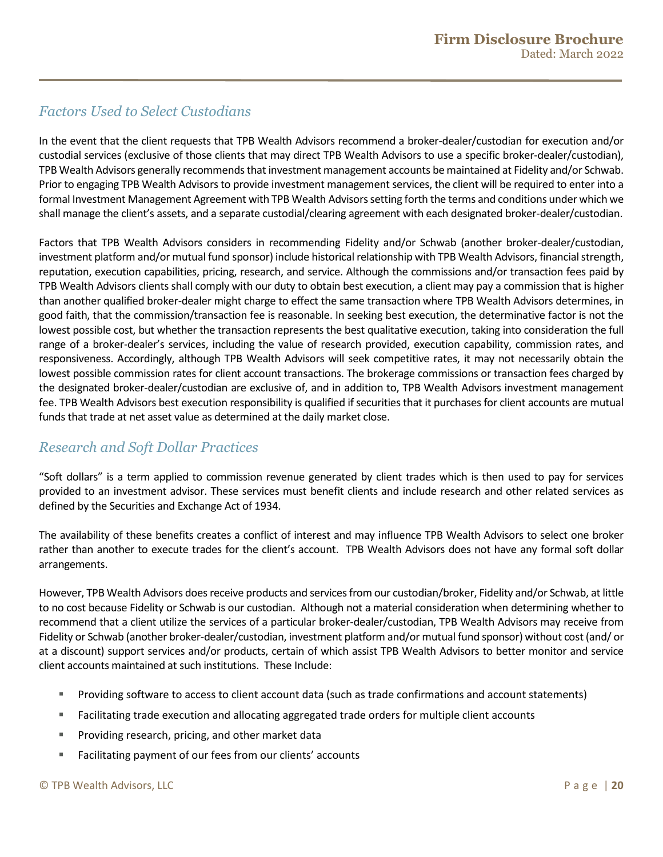### *Factors Used to Select Custodians*

In the event that the client requests that TPB Wealth Advisors recommend a broker-dealer/custodian for execution and/or custodial services (exclusive of those clients that may direct TPB Wealth Advisors to use a specific broker-dealer/custodian), TPB Wealth Advisors generally recommends that investment management accounts be maintained at Fidelity and/or Schwab. Prior to engaging TPB Wealth Advisors to provide investment management services, the client will be required to enter into a formal Investment Management Agreement with TPB Wealth Advisors setting forth the terms and conditions under which we shall manage the client's assets, and a separate custodial/clearing agreement with each designated broker-dealer/custodian.

Factors that TPB Wealth Advisors considers in recommending Fidelity and/or Schwab (another broker-dealer/custodian, investment platform and/or mutual fund sponsor) include historical relationship with TPB Wealth Advisors, financial strength, reputation, execution capabilities, pricing, research, and service. Although the commissions and/or transaction fees paid by TPB Wealth Advisors clients shall comply with our duty to obtain best execution, a client may pay a commission that is higher than another qualified broker-dealer might charge to effect the same transaction where TPB Wealth Advisors determines, in good faith, that the commission/transaction fee is reasonable. In seeking best execution, the determinative factor is not the lowest possible cost, but whether the transaction represents the best qualitative execution, taking into consideration the full range of a broker-dealer's services, including the value of research provided, execution capability, commission rates, and responsiveness. Accordingly, although TPB Wealth Advisors will seek competitive rates, it may not necessarily obtain the lowest possible commission rates for client account transactions. The brokerage commissions or transaction fees charged by the designated broker-dealer/custodian are exclusive of, and in addition to, TPB Wealth Advisors investment management fee. TPB Wealth Advisors best execution responsibility is qualified if securities that it purchases for client accounts are mutual funds that trade at net asset value as determined at the daily market close.

### *Research and Soft Dollar Practices*

"Soft dollars" is a term applied to commission revenue generated by client trades which is then used to pay for services provided to an investment advisor. These services must benefit clients and include research and other related services as defined by the Securities and Exchange Act of 1934.

The availability of these benefits creates a conflict of interest and may influence TPB Wealth Advisors to select one broker rather than another to execute trades for the client's account. TPB Wealth Advisors does not have any formal soft dollar arrangements.

However, TPB Wealth Advisors does receive products and services from our custodian/broker, Fidelity and/or Schwab, at little to no cost because Fidelity or Schwab is our custodian. Although not a material consideration when determining whether to recommend that a client utilize the services of a particular broker-dealer/custodian, TPB Wealth Advisors may receive from Fidelity or Schwab (another broker-dealer/custodian, investment platform and/or mutual fund sponsor) without cost (and/ or at a discount) support services and/or products, certain of which assist TPB Wealth Advisors to better monitor and service client accounts maintained at such institutions. These Include:

- Providing software to access to client account data (such as trade confirmations and account statements)
- Facilitating trade execution and allocating aggregated trade orders for multiple client accounts
- Providing research, pricing, and other market data
- **Facilitating payment of our fees from our clients' accounts**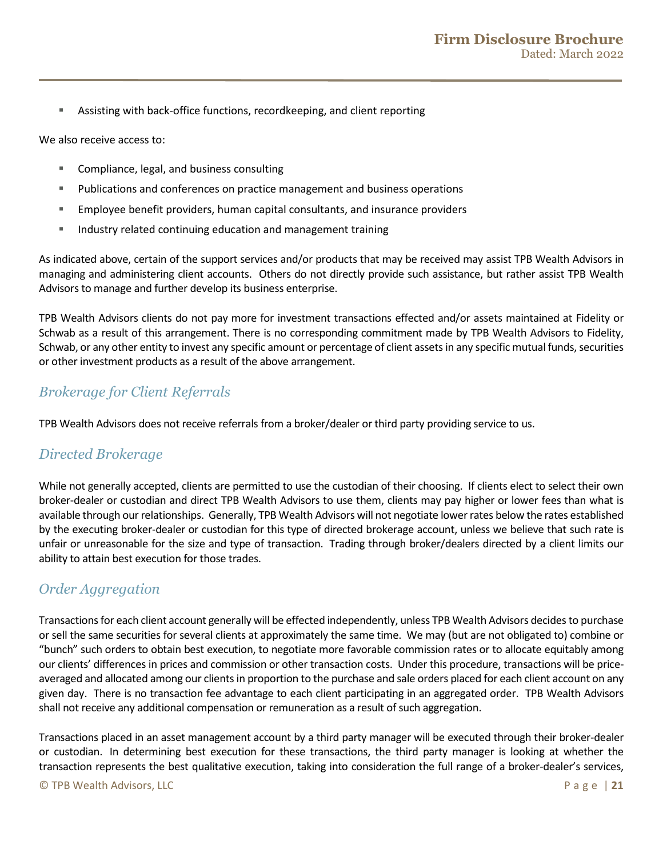Assisting with back-office functions, recordkeeping, and client reporting

We also receive access to:

- Compliance, legal, and business consulting
- Publications and conferences on practice management and business operations
- Employee benefit providers, human capital consultants, and insurance providers
- **IF** Industry related continuing education and management training

As indicated above, certain of the support services and/or products that may be received may assist TPB Wealth Advisors in managing and administering client accounts. Others do not directly provide such assistance, but rather assist TPB Wealth Advisors to manage and further develop its business enterprise.

TPB Wealth Advisors clients do not pay more for investment transactions effected and/or assets maintained at Fidelity or Schwab as a result of this arrangement. There is no corresponding commitment made by TPB Wealth Advisors to Fidelity, Schwab, or any other entity to invest any specific amount or percentage of client assets in any specific mutual funds, securities or other investment products as a result of the above arrangement.

### *Brokerage for Client Referrals*

TPB Wealth Advisors does not receive referrals from a broker/dealer or third party providing service to us.

### *Directed Brokerage*

While not generally accepted, clients are permitted to use the custodian of their choosing. If clients elect to select their own broker-dealer or custodian and direct TPB Wealth Advisors to use them, clients may pay higher or lower fees than what is available through our relationships. Generally, TPB Wealth Advisors will not negotiate lower rates below the rates established by the executing broker-dealer or custodian for this type of directed brokerage account, unless we believe that such rate is unfair or unreasonable for the size and type of transaction. Trading through broker/dealers directed by a client limits our ability to attain best execution for those trades.

### *Order Aggregation*

Transactions for each client account generally will be effected independently, unless TPB Wealth Advisors decidesto purchase or sell the same securities for several clients at approximately the same time. We may (but are not obligated to) combine or "bunch" such orders to obtain best execution, to negotiate more favorable commission rates or to allocate equitably among our clients' differences in prices and commission or other transaction costs. Under this procedure, transactions will be priceaveraged and allocated among our clients in proportion to the purchase and sale orders placed for each client account on any given day. There is no transaction fee advantage to each client participating in an aggregated order. TPB Wealth Advisors shall not receive any additional compensation or remuneration as a result of such aggregation.

Transactions placed in an asset management account by a third party manager will be executed through their broker-dealer or custodian. In determining best execution for these transactions, the third party manager is looking at whether the transaction represents the best qualitative execution, taking into consideration the full range of a broker-dealer's services,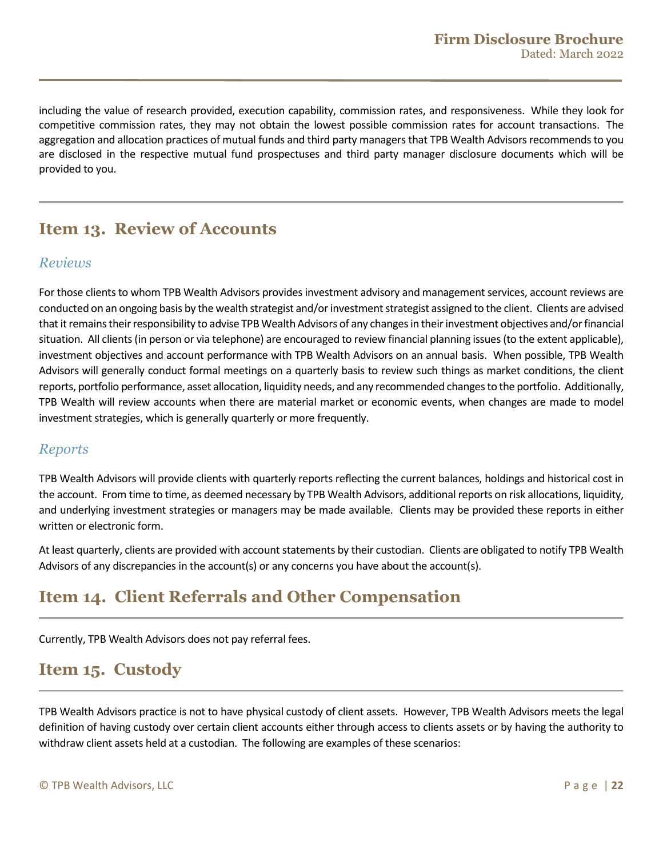including the value of research provided, execution capability, commission rates, and responsiveness. While they look for competitive commission rates, they may not obtain the lowest possible commission rates for account transactions. The aggregation and allocation practices of mutual funds and third party managers that TPB Wealth Advisors recommends to you are disclosed in the respective mutual fund prospectuses and third party manager disclosure documents which will be provided to you.

# <span id="page-21-0"></span>**Item 13. Review of Accounts**

### *Reviews*

For those clients to whom TPB Wealth Advisors provides investment advisory and management services, account reviews are conducted on an ongoing basis by the wealth strategist and/or investment strategist assigned to the client. Clients are advised that it remains their responsibility to advise TPB Wealth Advisors of any changes in their investment objectives and/or financial situation. All clients (in person or via telephone) are encouraged to review financial planning issues (to the extent applicable), investment objectives and account performance with TPB Wealth Advisors on an annual basis. When possible, TPB Wealth Advisors will generally conduct formal meetings on a quarterly basis to review such things as market conditions, the client reports, portfolio performance, asset allocation, liquidity needs, and any recommended changes to the portfolio. Additionally, TPB Wealth will review accounts when there are material market or economic events, when changes are made to model investment strategies, which is generally quarterly or more frequently.

### *Reports*

TPB Wealth Advisors will provide clients with quarterly reports reflecting the current balances, holdings and historical cost in the account. From time to time, as deemed necessary by TPB Wealth Advisors, additional reports on risk allocations, liquidity, and underlying investment strategies or managers may be made available. Clients may be provided these reports in either written or electronic form.

At least quarterly, clients are provided with account statements by their custodian. Clients are obligated to notify TPB Wealth Advisors of any discrepancies in the account(s) or any concerns you have about the account(s).

# <span id="page-21-1"></span>**Item 14. Client Referrals and Other Compensation**

Currently, TPB Wealth Advisors does not pay referral fees.

# <span id="page-21-2"></span>**Item 15. Custody**

TPB Wealth Advisors practice is not to have physical custody of client assets. However, TPB Wealth Advisors meets the legal definition of having custody over certain client accounts either through access to clients assets or by having the authority to withdraw client assets held at a custodian. The following are examples of these scenarios: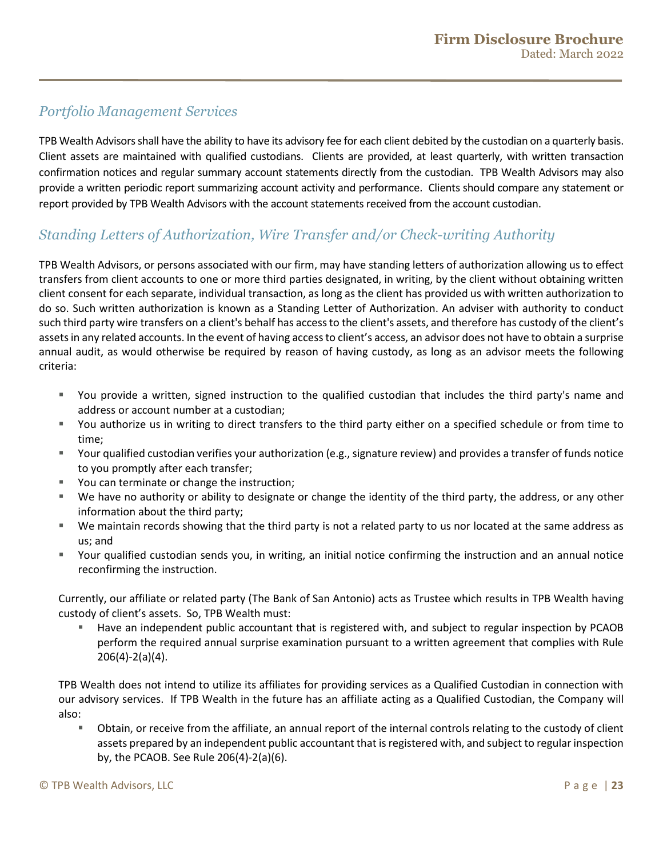### *Portfolio Management Services*

TPB Wealth Advisorsshall have the ability to have its advisory fee for each client debited by the custodian on a quarterly basis. Client assets are maintained with qualified custodians. Clients are provided, at least quarterly, with written transaction confirmation notices and regular summary account statements directly from the custodian. TPB Wealth Advisors may also provide a written periodic report summarizing account activity and performance. Clients should compare any statement or report provided by TPB Wealth Advisors with the account statements received from the account custodian.

### *Standing Letters of Authorization, Wire Transfer and/or Check-writing Authority*

TPB Wealth Advisors, or persons associated with our firm, may have standing letters of authorization allowing us to effect transfers from client accounts to one or more third parties designated, in writing, by the client without obtaining written client consent for each separate, individual transaction, as long as the client has provided us with written authorization to do so. Such written authorization is known as a Standing Letter of Authorization. An adviser with authority to conduct such third party wire transfers on a client's behalf has access to the client's assets, and therefore has custody of the client's assets in any related accounts. In the event of having access to client's access, an advisor does not have to obtain a surprise annual audit, as would otherwise be required by reason of having custody, as long as an advisor meets the following criteria:

- You provide a written, signed instruction to the qualified custodian that includes the third party's name and address or account number at a custodian;
- You authorize us in writing to direct transfers to the third party either on a specified schedule or from time to time;
- Your qualified custodian verifies your authorization (e.g., signature review) and provides a transfer of funds notice to you promptly after each transfer;
- You can terminate or change the instruction;
- We have no authority or ability to designate or change the identity of the third party, the address, or any other information about the third party;
- We maintain records showing that the third party is not a related party to us nor located at the same address as us; and
- Your qualified custodian sends you, in writing, an initial notice confirming the instruction and an annual notice reconfirming the instruction.

Currently, our affiliate or related party (The Bank of San Antonio) acts as Trustee which results in TPB Wealth having custody of client's assets. So, TPB Wealth must:

 Have an independent public accountant that is registered with, and subject to regular inspection by PCAOB perform the required annual surprise examination pursuant to a written agreement that complies with Rule 206(4)-2(a)(4).

TPB Wealth does not intend to utilize its affiliates for providing services as a Qualified Custodian in connection with our advisory services. If TPB Wealth in the future has an affiliate acting as a Qualified Custodian, the Company will also:

 Obtain, or receive from the affiliate, an annual report of the internal controls relating to the custody of client assets prepared by an independent public accountant that is registered with, and subject to regular inspection by, the PCAOB. See Rule 206(4)-2(a)(6).